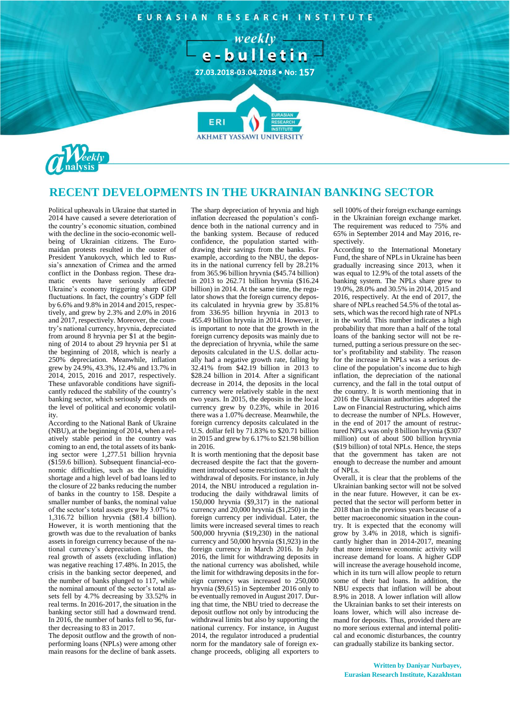

## **RECENT DEVELOPMENTS IN THE UKRAINIAN BANKING SECTOR**

Political upheavals in Ukraine that started in 2014 have caused a severe deterioration of the country's economic situation, combined with the decline in the socio-economic wellbeing of Ukrainian citizens. The Euromaidan protests resulted in the ouster of President Yanukovych, which led to Russia's annexation of Crimea and the armed conflict in the Donbass region. These dramatic events have seriously affected Ukraine's economy triggering sharp GDP fluctuations. In fact, the country's GDP fell by 6.6% and 9.8% in 2014 and 2015, respectively, and grew by 2.3% and 2.0% in 2016 and 2017, respectively. Moreover, the country's national currency, hryvnia, depreciated from around 8 hryvnia per \$1 at the beginning of 2014 to about 29 hryvnia per \$1 at the beginning of 2018, which is nearly a 250% depreciation. Meanwhile, inflation grew by 24.9%, 43.3%, 12.4% and 13.7% in 2014, 2015, 2016 and 2017, respectively. These unfavorable conditions have significantly reduced the stability of the country's banking sector, which seriously depends on the level of political and economic volatility.

According to the National Bank of Ukraine (NBU), at the beginning of 2014, when a relatively stable period in the country was coming to an end, the total assets of its banking sector were 1,277.51 billion hryvnia (\$159.6 billion). Subsequent financial-economic difficulties, such as the liquidity shortage and a high level of bad loans led to the closure of 22 banks reducing the number of banks in the country to 158. Despite a smaller number of banks, the nominal value of the sector's total assets grew by 3.07% to 1,316.72 billion hryvnia (\$81.4 billion). However, it is worth mentioning that the growth was due to the revaluation of banks assets in foreign currency because of the national currency's depreciation. Thus, the real growth of assets (excluding inflation) was negative reaching 17.48%. In 2015, the crisis in the banking sector deepened, and the number of banks plunged to 117, while the nominal amount of the sector's total assets fell by 4.7% decreasing by 33.52% in real terms. In 2016-2017, the situation in the banking sector still had a downward trend. In 2016, the number of banks fell to 96, further decreasing to 83 in 2017.

The deposit outflow and the growth of nonperforming loans (NPLs) were among other main reasons for the decline of bank assets.

The sharp depreciation of hryvnia and high inflation decreased the population's confidence both in the national currency and in the banking system. Because of reduced confidence, the population started withdrawing their savings from the banks. For example, according to the NBU, the deposits in the national currency fell by 28.21% from 365.96 billion hryvnia (\$45.74 billion) in 2013 to 262.71 billion hryvnia (\$16.24 billion) in 2014. At the same time, the regulator shows that the foreign currency deposits calculated in hryvnia grew by 35.81% from 336.95 billion hryvnia in 2013 to 455.49 billion hryvnia in 2014. However, it is important to note that the growth in the foreign currency deposits was mainly due to the depreciation of hryvnia, while the same deposits calculated in the U.S. dollar actually had a negative growth rate, falling by 32.41% from \$42.19 billion in 2013 to \$28.24 billion in 2014. After a significant decrease in 2014, the deposits in the local currency were relatively stable in the next two years. In 2015, the deposits in the local currency grew by 0.23%, while in 2016 there was a 1.07% decrease. Meanwhile, the foreign currency deposits calculated in the U.S. dollar fell by 71.83% to \$20.71 billion in 2015 and grew by 6.17% to \$21.98 billion in 2016.

It is worth mentioning that the deposit base decreased despite the fact that the government introduced some restrictions to halt the withdrawal of deposits. For instance, in July 2014, the NBU introduced a regulation introducing the daily withdrawal limits of 150,000 hryvnia (\$9,317) in the national currency and 20,000 hryvnia (\$1,250) in the foreign currency per individual. Later, the limits were increased several times to reach 500,000 hryvnia (\$19,230) in the national currency and 50,000 hryvnia (\$1,923) in the foreign currency in March 2016. In July 2016, the limit for withdrawing deposits in the national currency was abolished, while the limit for withdrawing deposits in the foreign currency was increased to 250,000 hryvnia (\$9,615) in September 2016 only to be eventually removed in August 2017. During that time, the NBU tried to decrease the deposit outflow not only by introducing the withdrawal limits but also by supporting the national currency. For instance, in August 2014, the regulator introduced a prudential norm for the mandatory sale of foreign exchange proceeds, obliging all exporters to sell 100% of their foreign exchange earnings in the Ukrainian foreign exchange market. The requirement was reduced to 75% and 65% in September 2014 and May 2016, respectively.

According to the International Monetary Fund, the share of NPLs in Ukraine has been gradually increasing since 2013, when it was equal to 12.9% of the total assets of the banking system. The NPLs share grew to 19.0%, 28.0% and 30.5% in 2014, 2015 and 2016, respectively. At the end of 2017, the share of NPLs reached 54.5% of the total assets, which was the record high rate of NPLs in the world. This number indicates a high probability that more than a half of the total loans of the banking sector will not be returned, putting a serious pressure on the sector's profitability and stability. The reason for the increase in NPLs was a serious decline of the population's income due to high inflation, the depreciation of the national currency, and the fall in the total output of the country. It is worth mentioning that in 2016 the Ukrainian authorities adopted the Law on Financial Restructuring, which aims to decrease the number of NPLs. However, in the end of 2017 the amount of restructured NPLs was only 8 billion hryvnia (\$307 million) out of about 500 billion hryvnia (\$19 billion) of total NPLs. Hence, the steps that the government has taken are not enough to decrease the number and amount of NPLs.

Overall, it is clear that the problems of the Ukrainian banking sector will not be solved in the near future. However, it can be expected that the sector will perform better in 2018 than in the previous years because of a better macroeconomic situation in the country. It is expected that the economy will grow by 3.4% in 2018, which is significantly higher than in 2014-2017, meaning that more intensive economic activity will increase demand for loans. A higher GDP will increase the average household income, which in its turn will allow people to return some of their bad loans. In addition, the NBU expects that inflation will be about 8.9% in 2018. A lower inflation will allow the Ukrainian banks to set their interests on loans lower, which will also increase demand for deposits. Thus, provided there are no more serious external and internal political and economic disturbances, the country can gradually stabilize its banking sector.

**Written by Daniyar Nurbayev, Eurasian Research Institute, Kazakhstan**